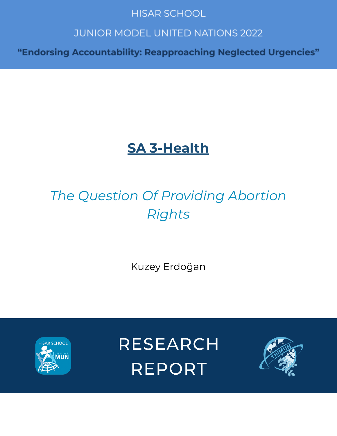# **HISAR SCHOOL**

# **JUNIOR MODEL UNITED NATIONS 2022**

"Endorsing Accountability: Reapproaching Neglected Urgencies"

# **SA 3-Health**

# *The Question Of Providing Abortion Rights*

Kuzey Erdoğan



**RESEARCH REPORT** 

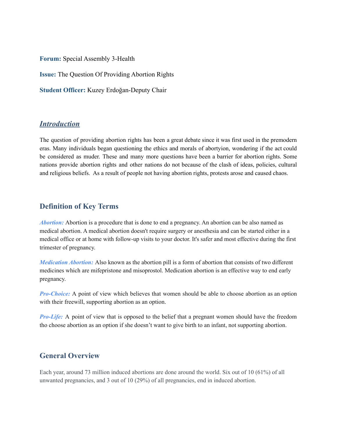**Forum:** Special Assembly 3-Health

**Issue:** The Question Of Providing Abortion Rights

**Student Officer:** Kuzey Erdoğan-Deputy Chair

## *Introduction*

The question of providing abortion rights has been a great debate since it was first used in the premodern eras. Many individuals began questioning the ethics and morals of abortyion, wondering if the act could be considered as muder. These and many more questions have been a barrier for abortion rights. Some nations provide abortion rights and other nations do not because of the clash of ideas, policies, cultural and religious beliefs. As a result of people not having abortion rights, protests arose and caused chaos.

# **Definition of Key Terms**

*Abortion:* Abortion is a procedure that is done to end a pregnancy. An abortion can be also named as medical abortion. A medical abortion doesn't require surgery or anesthesia and can be started either in a medical office or at home with follow-up visits to your doctor. It's safer and most effective during the first trimester of pregnancy.

*Medication Abortion:* Also known as the abortion pill is a form of abortion that consists of two different medicines which are mifepristone and misoprostol. Medication abortion is an effective way to end early pregnancy.

*Pro-Choice:* A point of view which believes that women should be able to choose abortion as an option with their freewill, supporting abortion as an option.

*Pro-Life:* A point of view that is opposed to the belief that a pregnant women should have the freedom tho choose abortion as an option if she doesn't want to give birth to an infant, not supporting abortion.

## **General Overview**

Each year, around 73 million induced abortions are done around the world. Six out of 10 (61%) of all unwanted pregnancies, and 3 out of 10 (29%) of all pregnancies, end in induced abortion.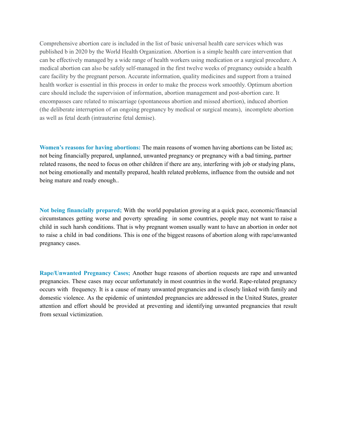Comprehensive abortion care is included in the list of basic universal health care services which was published b in 2020 by the World Health Organization. Abortion is a simple health care intervention that can be effectively managed by a wide range of health workers using medication or a surgical procedure. A medical abortion can also be safely self-managed in the first twelve weeks of pregnancy outside a health care facility by the pregnant person. Accurate information, quality medicines and support from a trained health worker is essential in this process in order to make the process work smoothly. Optimum abortion care should include the supervision of information, abortion management and post-abortion care. It encompasses care related to miscarriage (spontaneous abortion and missed abortion), induced abortion (the deliberate interruption of an ongoing pregnancy by medical or surgical means), incomplete abortion as well as fetal death (intrauterine fetal demise).

**Women's reasons for having abortions:** The main reasons of women having abortions can be listed as; not being financially prepared, unplanned, unwanted pregnancy or pregnancy with a bad timing, partner related reasons, the need to focus on other children if there are any, interfering with job or studying plans, not being emotionally and mentally prepared, health related problems, influence from the outside and not being mature and ready enough..

**Not being financially prepared;** With the world population growing at a quick pace, economic/financial circumstances getting worse and poverty spreading in some countries, people may not want to raise a child in such harsh conditions. That is why pregnant women usually want to have an abortion in order not to raise a child in bad conditions. This is one of the biggest reasons of abortion along with rape/unwanted pregnancy cases.

**Rape/Unwanted Pregnancy Cases;** Another huge reasons of abortion requests are rape and unwanted pregnancies. These cases may occur unfortunately in most countries in the world. Rape-related pregnancy occurs with frequency. It is a cause of many unwanted pregnancies and is closely linked with family and domestic violence. As the epidemic of unintended pregnancies are addressed in the United States, greater attention and effort should be provided at preventing and identifying unwanted pregnancies that result from sexual victimization.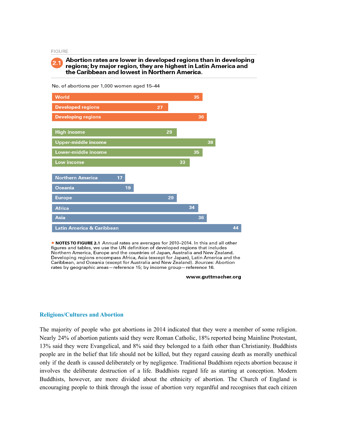#### **FIGURE**

#### Abortion rates are lower in developed regions than in developing regions; by major region, they are highest in Latin America and the Caribbean and lowest in Northern America.



No. of abortions per 1,000 women aged 15-44

. NOTES TO FIGURE 2.1 Annual rates are averages for 2010-2014. In this and all other figures and tables, we use the UN definition of developed regions that includes Northern America, Europe and the countries of Japan, Australia and New Zealand. Developing regions encompass Africa, Asia (except for Japan), Latin America and the Caribbean, and Oceania (except for Australia and New Zealand). Sources: Abortion rates by geographic areas-reference 15; by income group-reference 16.

www.guttmacher.org

#### **Religions/Cultures and Abortion**

The majority of people who got abortions in 2014 indicated that they were a member of some religion. Nearly 24% of abortion patients said they were Roman Catholic, 18% reported being Mainline Protestant, 13% said they were Evangelical, and 8% said they belonged to a faith other than Christianity. Buddhists people are in the belief that life should not be killed, but they regard causing death as morally unethical only if the death is caused deliberately or by negligence. Traditional Buddhism rejects abortion because it involves the deliberate destruction of a life. Buddhists regard life as starting at conception. Modern Buddhists, however, are more divided about the ethnicity of abortion. The Church of England is encouraging people to think through the issue of abortion very regardful and recognises that each citizen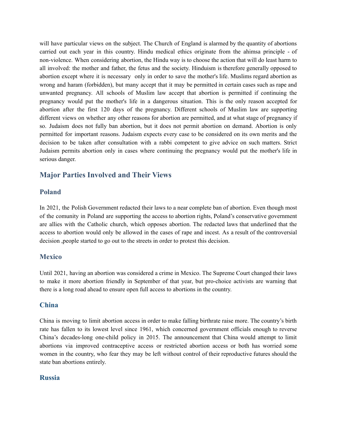will have particular views on the subject. The Church of England is alarmed by the quantity of abortions carried out each year in this country. Hindu medical ethics originate from the ahimsa principle - of non-violence. When considering [abortion,](https://www.bbc.co.uk/ethics/abortion/) the Hindu way is to choose the action that will do least harm to all involved: the mother and father, the fetus and the society. Hinduism is therefore generally opposed to abortion except where it is necessary only in order to save the mother's life. Muslims regard [abortion](https://www.bbc.co.uk/ethics/abortion/) as wrong and haram (forbidden), but many accept that it may be permitted in certain cases such as rape and unwanted pregnancy. All schools of Muslim law accept that abortion is permitted if continuing the pregnancy would put the mother's life in a dangerous situation. This is the only reason accepted for abortion after the first 120 days of the pregnancy. Different schools of Muslim law are supporting different views on whether any other reasons for abortion are permitted, and at what stage of pregnancy if so. Judaism does not fully ban abortion, but it does not permit abortion on demand. Abortion is only permitted for important reasons. Judaism expects every case to be considered on its own merits and the decision to be taken after consultation with a rabbi competent to give advice on such matters. Strict Judaism permits abortion only in cases where continuing the pregnancy would put the mother's life in serious danger.

# **Major Parties Involved and Their Views**

#### **Poland**

In 2021, the Polish Government redacted their laws to a near complete ban of abortion. Even though most of the comunity in Poland are supporting the access to abortion rights, Poland's conservative government are allies with the Catholic church, which opposes abortion. The redacted laws that underlined that the access to abortion would only be allowed in the cases of rape and incest. As a result of the controversial decision ,people started to go out to the streets in order to protest this decision.

#### **Mexico**

Until 2021, having an abortion was considered a crime in Mexico. The Supreme Court changed their laws to make it more abortion friendly in September of that year, but pro-choice activists are warning that there is a long road ahead to ensure open full access to abortions in the country.

#### **China**

China is moving to limit abortion access in order to make falling birthrate raise more. The country's birth rate has fallen to its lowest level since 1961, which concerned government officials enough to reverse China's decades-long one-child policy in 2015. The announcement that China would attempt to limit abortions via improved contraceptive access or restricted abortion access or both has worried some women in the country, who fear they may be left without control of their reproductive futures should the state ban abortions entirely.

#### **Russia**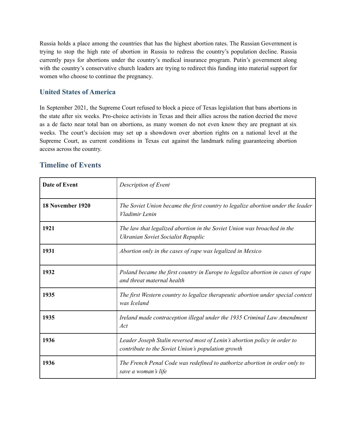Russia holds a place among the countries that has the highest abortion rates. The Russian Government is trying to stop the high rate of abortion in Russia to redress the country's population decline. Russia currently pays for abortions under the country's medical insurance program. Putin's government along with the country's conservative church leaders are trying to redirect this funding into material support for women who choose to continue the pregnancy.

### **United States of America**

In September 2021, the Supreme Court refused to block a piece of Texas legislation that bans abortions in the state after six weeks. Pro-choice activists in Texas and their allies across the nation decried the move as a de facto near total ban on abortions, as many women do not even know they are pregnant at six weeks. The court's decision may set up a showdown over abortion rights on a national level at the Supreme Court, as current conditions in Texas cut against the landmark ruling guaranteeing abortion access across the country.

| <b>Date of Event</b> | Description of Event                                                                                                            |
|----------------------|---------------------------------------------------------------------------------------------------------------------------------|
| 18 November 1920     | The Soviet Union became the first country to legalize abortion under the leader<br>Vladimir Lenin                               |
| 1921                 | The law that legalized abortion in the Soviet Union was broached in the<br>Ukranian Soviet Socialist Repuplic                   |
| 1931                 | Abortion only in the cases of rape was legalized in Mexico                                                                      |
| 1932                 | Poland became the first country in Europe to legalize abortion in cases of rape<br>and threat maternal health                   |
| 1935                 | The first Western country to legalize therapeutic abortion under special context<br>was Iceland                                 |
| 1935                 | Ireland made contraception illegal under the 1935 Criminal Law Amendment<br>Act                                                 |
| 1936                 | Leader Joseph Stalin reversed most of Lenin's abortion policy in order to<br>contribute to the Soviet Union's population growth |
| 1936                 | The French Penal Code was redefined to authorize abortion in order only to<br>save a woman's life                               |

## **Timeline of Events**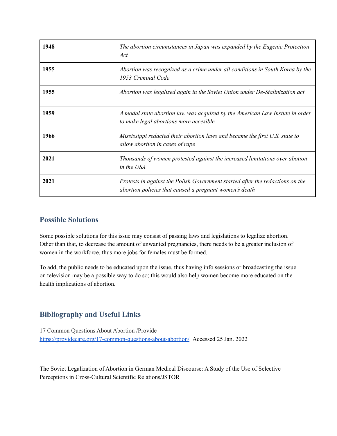| 1948 | The abortion circumstances in Japan was expanded by the Eugenic Protection<br>Act                                                       |
|------|-----------------------------------------------------------------------------------------------------------------------------------------|
| 1955 | Abortion was recognized as a crime under all conditions in South Korea by the<br>1953 Criminal Code                                     |
| 1955 | Abortion was legalized again in the Soviet Union under De-Stalinization act                                                             |
| 1959 | A modal state abortion law was acquired by the American Law Instute in order<br>to make legal abortions more accesible                  |
| 1966 | Mississippi redacted their abortion laws and became the first U.S. state to<br>allow abortion in cases of rape                          |
| 2021 | Thousands of women protested against the increased limitations over abotion<br>in the USA                                               |
| 2021 | Protests in against the Polish Government started after the redactions on the<br>abortion policies that caused a pregnant women's death |

# **Possible Solutions**

Some possible solutions for this issue may consist of passing laws and legislations to legalize abortion. Other than that, to decrease the amount of unwanted pregnancies, there needs to be a greater inclusion of women in the workforce, thus more jobs for females must be formed.

To add, the public needs to be educated upon the issue, thus having info sessions or broadcasting the issue on television may be a possible way to do so; this would also help women become more educated on the health implications of abortion.

# **Bibliography and Useful Links**

17 Common Questions About Abortion /Provide <https://providecare.org/17-common-questions-about-abortion/> Accessed 25 Jan. 2022

The Soviet Legalization of Abortion in German Medical Discourse: A Study of the Use of Selective Perceptions in Cross-Cultural Scientific Relations/JSTOR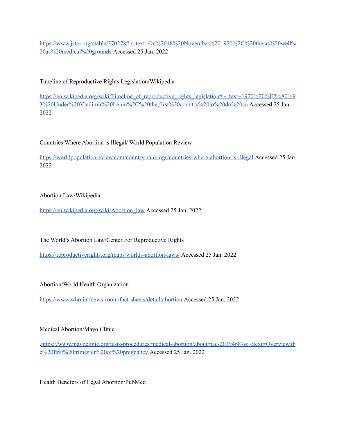[https://www.jstor.org/stable/370278#:~:text=On%2018%20November%201920%2C%20the,as%20well%](https://www.jstor.org/stable/370278#:~:text=On%2018%20November%201920%2C%20the,as%20well%20as%20medical%20grounds) [20as%20medical%20grounds](https://www.jstor.org/stable/370278#:~:text=On%2018%20November%201920%2C%20the,as%20well%20as%20medical%20grounds) Accessed 25 Jan. 2022

### Timeline of Reproductive Rights Legislation/Wikipedia

[https://en.wikipedia.org/wiki/Timeline\\_of\\_reproductive\\_rights\\_legislation#:~:text=1920%20%E2%80%9](https://en.wikipedia.org/wiki/Timeline_of_reproductive_rights_legislation#:~:text=1920%20%E2%80%93%20Under%20Vladimir%20Lenin%2C%20the,first%20country%20to%20do%20so) [3%20Under%20Vladimir%20Lenin%2C%20the,first%20country%20to%20do%20so](https://en.wikipedia.org/wiki/Timeline_of_reproductive_rights_legislation#:~:text=1920%20%E2%80%93%20Under%20Vladimir%20Lenin%2C%20the,first%20country%20to%20do%20so) Accessed 25 Jan. 2022

#### Countries Where Abortion is Illegal/ World Population Review

<https://worldpopulationreview.com/country-rankings/countries-where-abortion-is-illegal> Accessed 25 Jan. 2022

#### Abortion Law/Wikipedia

[https://en.wikipedia.org/wiki/Abortion\\_law](https://en.wikipedia.org/wiki/Abortion_law) Accessed 25 Jan. 2022

The World's Abortion Law/Center For Reproductive Rights

<https://reproductiverights.org/maps/worlds-abortion-laws/> Accessed 25 Jan. 2022

Abortion/World Health Organization

<https://www.who.int/news-room/fact-sheets/detail/abortion> Accessed 25 Jan. 2022

#### Medical Abortion/Mayo Clinic

.[https://www.mayoclinic.org/tests-procedures/medical-abortion/about/pac-20394687#:~:text=Overview,th](https://www.mayoclinic.org/tests-procedures/medical-abortion/about/pac-20394687#:~:text=Overview,the%20first%20trimester%20of%20pregnancy) [e%20first%20trimester%20of%20pregnancy](https://www.mayoclinic.org/tests-procedures/medical-abortion/about/pac-20394687#:~:text=Overview,the%20first%20trimester%20of%20pregnancy) Accessed 25 Jan. 2022

Health Benefers of Legal Abortion/PubMed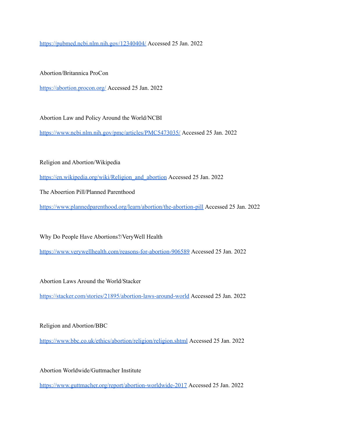<https://pubmed.ncbi.nlm.nih.gov/12340404/> Accessed 25 Jan. 2022

Abortion/Britannica ProCon

<https://abortion.procon.org/> Accessed 25 Jan. 2022

Abortion Law and Policy Around the World/NCBI

<https://www.ncbi.nlm.nih.gov/pmc/articles/PMC5473035/> Accessed 25 Jan. 2022

Religion and Abortion/Wikipedia

[https://en.wikipedia.org/wiki/Religion\\_and\\_abortion](https://en.wikipedia.org/wiki/Religion_and_abortion) Accessed 25 Jan. 2022

The Aboertion Pill/Planned Parenthood

<https://www.plannedparenthood.org/learn/abortion/the-abortion-pill> Accessed 25 Jan. 2022

Why Do People Have Abortions?/VeryWell Health

<https://www.verywellhealth.com/reasons-for-abortion-906589> Accessed 25 Jan. 2022

Abortion Laws Around the World/Stacker

<https://stacker.com/stories/21895/abortion-laws-around-world> Accessed 25 Jan. 2022

Religion and Abortion/BBC

<https://www.bbc.co.uk/ethics/abortion/religion/religion.shtml> Accessed 25 Jan. 2022

Abortion Worldwide/Guttmacher Institute

<https://www.guttmacher.org/report/abortion-worldwide-2017> Accessed 25 Jan. 2022